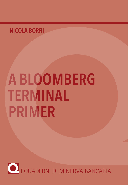## NICOLA BORRI

# **A BLOOMBERG TERMINAL PRIMER**

O I QUADERNI DI MINERVA BANCARIA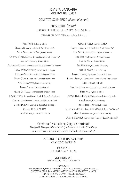#### RIVISTA BANCARIA MINERVA BANCARIA

#### COMITATO SCIENTIFICO *(Editorial board)*

PRESIDENTE *(Editor)*:

GIORGIO DI GIORGIO, Università LUISS - Guido Carli, Roma

#### MEMBRI DEL COMITATO *(Associate Editors)*:

PAOLO ANGELINI. Banca d'Italia MASSIMO BELCREDI, Università Cattolica del S.C. EMILIA BONACCORSI DI PATTI, Banca d'Italia CONCETTA BRESCIA MORRA, Università degli Studi "Roma Tre" FRANCESCO CANNATA, Banca d'Italia ALESSANDRO CARRETTA, Università degli Studi di Roma "Tor Vergata" ENRICO MARIA CERVELLATI, Università di Bologna RICCARDO CESARI, Università di Bologna e IVASS NICOLA CETORELLI, New York Federal Reserve Bank N.K. CHIDAMBARAN, Fordham University MARIO COMANA, LUISS Guido Carli GIANNI DE NICOLÒ, International Monetary Fund RITA D'ECCLESIA, Università degli Studi di Roma "La Sapienza" GIOVANNI DELL'ARICCIA, International Monetary Fund STEFANO DELL'ATTI, Università degli Studi di Foggia CARMINE DI NOIA, CONSOB LUCA ENRIQUES, University of Oxford

GIOVANNI FERRI, Università LUMSA FRANCO FIORDELISI, Università degli Studi "Roma Tre" LUCA FIORITO, Università degli Studi di Palermo FABIO FORTUNA, Università Niccolò Cusano EUGENIO GAIOTTI, Banca d'Italia GUR HUBERMAN, Columbia University AMIN N. KHALAF, Ernst & Young MARIO LA TORRE, Sapienza - Università di Roma RAFFAELE LENER, Università degli Studi di Roma "Tor Vergata" NADIA LINCIANO, CONSOB PINA MURÉ, Sapienza - Università degli Studi di Roma FABIO PANETTA, Banca d'Italia ALBERTO FRANCO POZZOLO, Università degli Studi del Molise ZENO ROTONDI, Unicredit Group ANDREA SIRONI, Università Bocconi MARIO STELLA RICHTER, Università degli Studi di Roma "Tor Vergata" MARTI SUBRAHMANYAM, New York University ALBERTO ZAZZARO, Università degli Studi di Napoli "Federico II"

Comitato Accettazione Saggi e Contributi: Giorgio Di Giorgio *(editor in chief)* - Domenico Curcio *(co-editor)* Alberto Pozzolo *(co-editor) -* Mario Stella Richter *(co-editor)*

#### ISTITUTO DI CULTURA BANCARIA «FRANCESCO PARRILLO»

PRESIDENTE CLAUDIO CHIACCHIERINI

VICE PRESIDENTI MARIO CATALDO - GIOVANNI PARRILLO

CONSIGLIO TANCREDI BIANCHI, FABRIZIO D'ASCENZO, GIAN GIACOMO FAVERIO, ANTONIO FAZIO, GIUSEPPE GUARINO, PAOLA LEONE, ANTONIO MARZANO, FRANCESCO MINOTTI, PINA MURÈ, FULVIO MILANO, ERCOLE P. PELLICANO', CARLO SALVATORI, MARIO SARCINELLI, FRANCO VARETTO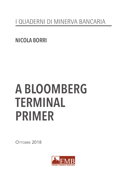## I QUADERNI DI MINERVA BANCARIA

**NICOLA BORRI** 

## **A BLOOMBERG TERMINAL PRIMER**

OTTORRE 2018

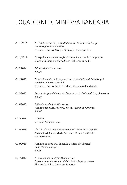## I QUADERNI DI MINERVA BANCARIA

| Q. 1/2013 | La distribuzione dei prodotti finanziari in Italia e in Europa:<br>nuove regole e nuove sfide<br>Domenico Curcio, Giorgio Di Giorgio, Giuseppe Zito       |
|-----------|-----------------------------------------------------------------------------------------------------------------------------------------------------------|
| Q. 1/2014 | La regolamentazione dei fondi comuni: una analisi comparata<br>Giorgio Di Giorgio e Mario Stella Richter (a cura di)                                      |
| Q. 2/2014 | FCHub: dopo l'anno zero<br>AA.VV.                                                                                                                         |
| Q. 1/2015 | Invecchiamento della popolazione ed evoluzione dei fabbisogni<br>previdenziali e assistenziali<br>Domenico Curcio, Paolo Giordani, Alessandro Pandimiglio |
| Q. 2/2015 | Euro e sviluppo del mercato finanziario. La lezione di Luigi Spaventa<br>AA.VV.                                                                           |
| Q. 3/2015 | Riflessioni sulla Risk Disclosure.<br>Risultati della ricerca realizzata dal Forum Governance.<br>AA.VV.                                                  |
| Q. 1/2016 | Il bail-in<br>a cura di Raffaele Lener                                                                                                                    |
| Q. 2/2016 | L'Asset Allocation in presenza di tassi di interesse negativi<br>Nicola Borri, Enrico Maria Cervellati, Domenico Curcio,<br>Antonio Fasano                |
| Q. 3/2016 | Risoluzione delle crisi bancarie e tutela dei depositi<br>nella Unione Europea<br>AA.VV.                                                                  |
| Q. 1/2017 | La probabilità (di default) non esiste.<br>Discorso sopra la comparabilità delle misure di rischio<br>Simone Casellina, Giuseppe Pandolfo                 |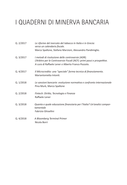## I QUADERNI DI MINERVA BANCARIA

| Q. 2/2017 | Le riforme del mercato del tabacco in Italia e in Grecia:<br>verso un calendario fiscale.                                                                                          |
|-----------|------------------------------------------------------------------------------------------------------------------------------------------------------------------------------------|
|           | Marco Spallone, Stefano Marzioni, Alessandro Pandimiglio.                                                                                                                          |
| Q. 3/2017 | I metodi di risoluzione delle controversie (ADR).<br>L'Arbitro per le Controversie Fiscali (ACF): primi passi e prospettive.<br>A cura di Raffaele Lener e Alberto Franco Pozzolo. |
| Q. 4/2017 | Il Microcredito: una "speciale" forma tecnica di finanziamento.<br>Mariantonietta Intonti.                                                                                         |
| Q. 1/2018 | Le sanzioni bancarie: evoluzione normativa e confronto internazionale<br>Pina Murè, Marco Spallone                                                                                 |
| Q. 2/2018 | Fintech: Diritto, Tecnologia e Finanza<br>Raffaele Lener                                                                                                                           |
| Q. 3/2018 | Quanta e quale educazione finanziaria per l'Italia? Un'analisi compor-<br>tamentale<br>Fabrizio Ghisellini                                                                         |
| Q. 4/2018 | A Bloomberg Terminal Primer<br>Nicola Borri                                                                                                                                        |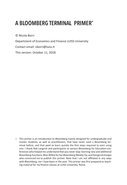### A BLOOMBERG TERMINAL PRIMER\*

© Nicola Borri

Department of Economics and Finance LUISS University

Contact email: nborri@luiss.it

This version: October 11, 2018

\* This primer is an introducton to Bloomberg mainly designed for undergraduate and master students, as well as practitioners, that have never used a Bloomberg terminal before, and that want to learn quickly the frst steps required to start using one. I thank Rob Langrick and partcipants to various Bloomberg for Educaton conferences who helped me understand that you never stop learning new and additonal Bloomberg functions; Blair Wilkie for her Bloomberg Weekly Tip; and Giorgio di Giorgio who convinced me to publish this primer. Note that I am not affiliated in any ways with Bloomberg, nor I have been in the past. This primer was first prepared as teaching material for my finance classes at LUISS University, Rome.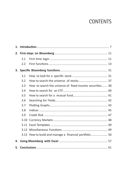#### **CONTENTS**

|    | 2.1  |                                                          |  |  |
|----|------|----------------------------------------------------------|--|--|
|    | 2.2  |                                                          |  |  |
|    |      |                                                          |  |  |
|    | 3.1  |                                                          |  |  |
|    | 3.2  |                                                          |  |  |
|    | 3.3  | How to search the universe of fixed-income securities 38 |  |  |
|    | 3.4  |                                                          |  |  |
|    | 3.5  |                                                          |  |  |
|    | 3.6  |                                                          |  |  |
|    | 3.7  |                                                          |  |  |
|    | 3.8  |                                                          |  |  |
|    | 3.9  |                                                          |  |  |
|    | 3.10 |                                                          |  |  |
|    |      |                                                          |  |  |
|    | 3.12 |                                                          |  |  |
|    | 3.13 | How to build and manage a financial portfolio 50         |  |  |
| 4. |      |                                                          |  |  |
|    |      |                                                          |  |  |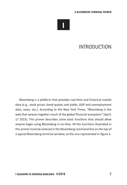

#### INTRODUCTION

Bloomberg is a platform that provides real-time and historical market data (e.g., stock prices, bond quotes and yields, GDP and unemployment data, news, etc.). According to the New York Times, "Bloomberg is the web that weaves together much of the global financial ecosystem" (April, 17 2015). This primer describes some basic functions that should allow anyone begin using Bloomberg in no time. All the functions illustrated in this primer must be entered in the Bloomberg command line on the top of a typical Bloomberg terminal window, as the one represented in figure 1.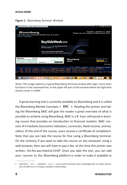



Notes: This image captures a typical Bloomberg Terminal window afer login. Users enter functions in the command line, in the upper left part of the window where the light blue square cursor is visible.

A great learning tool is currently available on Bloomberg and it is called the Bloomberg Market Concepts  $\langle$  BMC  $\rangle$ . Reading this primer and taking the Bloomberg BMC will give the reader a great overview of what is possible to achieve using Bloomberg. BMC is a 8- hour self-paced e-learning course that provides an introduction to financial markets. BMC consists of 4 modules (economic indicators, currencies, fxed-income, and equities). At the end of the course, users receive a certificate of completion. Note that you can take the course for free using a Bloomberg terminal. On the contrary, if you want to take the course on any computer using a web browser, then you will have to pay a fee: at the time this primer was written, the fee was listed at \$149<sup>1</sup>. Once you take the test, you can add your resume to the Bloomberg platform in order to make it available to

<sup>1</sup> Note that  $\le$  BMC  $>$  replaced  $\le$  BESS $>$ , a test used to evaluate users' knowledge after an online tutorial. Also the BAT test is no longer available on Bloomberg.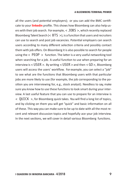all the users (and potential employers); or you can add the BMC certificate to your **linkedin** profile. This shows how Bloomberg can also help users with their job search. For example, < JOBS >, which recently replaced Bloomberg Talent Search ( $\lt$  BTS  $\gt$ ), is a function that users and recruiters can use to search and post job vacancies. Potental employers can search users according to many different selection criteria and possibly contact them with job offers. On Bloomberg it is also possible to search for people using the  $\langle$  PEOP  $\rangle$  function. The latter is a very useful networking tool when searching for a job. A useful function to use when preparing for an interview is  $<$  USER  $>$ . By writing  $<$  USER  $>$  and then  $<$  GO  $>$ , Bloomberg users will access the users' workflow. For example, you can select a "job" to see what are the functions that Bloomberg users with that particular jobs are more likely to use (for example, the job corresponding to the positon you are interviewing for, e.g., stock analyst). Needless to say, make sure you know how to use these functions to look smart during your interview. A last useful feature that you can use to prepare for an interview is < QUICK >, for Bloomberg quick takes. You will fnd a long list of topics, and by clicking on them you will get "quick" and basic information on all of these. This way you can make sure to be up to date with all the most recent and relevant discussion topics and hopefully ace your job interview. In the next sections, we will cover in detail various Bloomberg functions.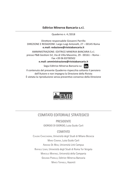Quaderno n. 4 /2018

Direttore responsabile Giovanni Parrillo DIREZIONE E REDAZIONE: Largo Luigi Antonelli, 27 – 00145 Roma e.mail: redazione@rivistabancaria.it

AMMINISTRAZIONE: EDITRICE MINERVA BANCARIA S.r.l. presso P&B Gestoni Srl, Via di Villa Massimo, 29 - 00161 – Roma - Fax +39 06 83700502

e.mail: amministrazione@rivistabancaria.it

Segui Editrice Minerva Bancaria su:



Il contenuto del presente Quaderno rispecchia soltanto il pensiero dell'Autore e non impegna la Direzione della Rivista È vietata la riproduzione senza preventvo consenso della Direzione



#### COMITATO EDITORIALE STRATEGICO

PRESIDENTE GIORGIO DI GIORGIO, Luiss Guido Carli

#### COMITATO

CLAUDIO CHIACCHIERINI, Università degli Studi di Milano Bicocca MARIO COMANA, Luiss Guido Carli ADRIANO DE MAIO, Università Link Campus RAFFAELE LENER, Università degli Studi di Roma Tor Vergata MARCELLO MARTINEZ, Università della Campania GIOVANNI PARRILLO, Editrice Minerva Bancaria MARCO TOFANELLI, Assoreti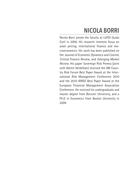## NICOLA BORRI

Nicola Borri joined the faculty at LUISS Guido Carli in 2009. His research interests focus on asset pricing, international finance and macroeconomics. His work has been published on the *Journal of Economic Dynamics and Control*, *Critical Finance Review*, and *Emerging Market Review*. His paper Sovereign Risk Premia (joint with Adrien Verdelhan) received the ABI Country Risk Forum Best Paper Award at the International Risk Management Conference 2010 and the 2010 WRDS Best Paper Award at the European Financial Management Association Conference. He received his undergraduate and master degree from Bocconi University, and a Ph.D in Economics from Boston University in 2009.